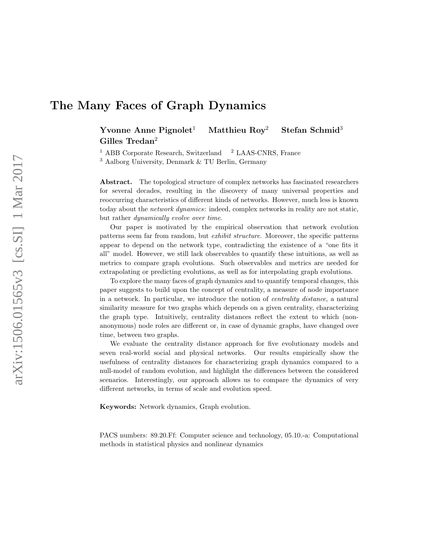# The Many Faces of Graph Dynamics

Yvonne Anne Pignolet<sup>1</sup> Matthieu Roy<sup>2</sup> Stefan Schmid<sup>3</sup> Gilles Tredan<sup>2</sup>

 $1$  ABB Corporate Research, Switzerland  $2$  LAAS-CNRS, France

<sup>3</sup> Aalborg University, Denmark & TU Berlin, Germany

Abstract. The topological structure of complex networks has fascinated researchers for several decades, resulting in the discovery of many universal properties and reoccurring characteristics of different kinds of networks. However, much less is known today about the network dynamics: indeed, complex networks in reality are not static, but rather dynamically evolve over time.

Our paper is motivated by the empirical observation that network evolution patterns seem far from random, but exhibit structure. Moreover, the specific patterns appear to depend on the network type, contradicting the existence of a "one fits it all" model. However, we still lack observables to quantify these intuitions, as well as metrics to compare graph evolutions. Such observables and metrics are needed for extrapolating or predicting evolutions, as well as for interpolating graph evolutions.

To explore the many faces of graph dynamics and to quantify temporal changes, this paper suggests to build upon the concept of centrality, a measure of node importance in a network. In particular, we introduce the notion of centrality distance, a natural similarity measure for two graphs which depends on a given centrality, characterizing the graph type. Intuitively, centrality distances reflect the extent to which (nonanonymous) node roles are different or, in case of dynamic graphs, have changed over time, between two graphs.

We evaluate the centrality distance approach for five evolutionary models and seven real-world social and physical networks. Our results empirically show the usefulness of centrality distances for characterizing graph dynamics compared to a null-model of random evolution, and highlight the differences between the considered scenarios. Interestingly, our approach allows us to compare the dynamics of very different networks, in terms of scale and evolution speed.

Keywords: Network dynamics, Graph evolution.

PACS numbers: 89.20.Ff: Computer science and technology, 05.10.-a: Computational methods in statistical physics and nonlinear dynamics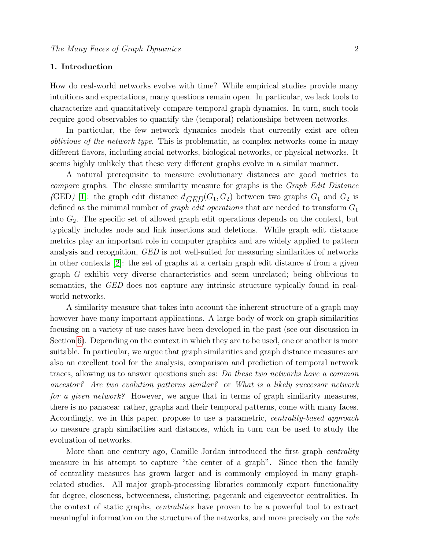# 1. Introduction

How do real-world networks evolve with time? While empirical studies provide many intuitions and expectations, many questions remain open. In particular, we lack tools to characterize and quantitatively compare temporal graph dynamics. In turn, such tools require good observables to quantify the (temporal) relationships between networks.

In particular, the few network dynamics models that currently exist are often oblivious of the network type. This is problematic, as complex networks come in many different flavors, including social networks, biological networks, or physical networks. It seems highly unlikely that these very different graphs evolve in a similar manner.

A natural prerequisite to measure evolutionary distances are good metrics to compare graphs. The classic similarity measure for graphs is the Graph Edit Distance (GED) [\[1\]](#page-15-0): the graph edit distance  $d_{GED}(G_1, G_2)$  between two graphs  $G_1$  and  $G_2$  is defined as the minimal number of *graph edit operations* that are needed to transform  $G_1$ into  $G_2$ . The specific set of allowed graph edit operations depends on the context, but typically includes node and link insertions and deletions. While graph edit distance metrics play an important role in computer graphics and are widely applied to pattern analysis and recognition, GED is not well-suited for measuring similarities of networks in other contexts  $[2]$ : the set of graphs at a certain graph edit distance d from a given graph G exhibit very diverse characteristics and seem unrelated; being oblivious to semantics, the GED does not capture any intrinsic structure typically found in realworld networks.

A similarity measure that takes into account the inherent structure of a graph may however have many important applications. A large body of work on graph similarities focusing on a variety of use cases have been developed in the past (see our discussion in Section [6\)](#page-11-0). Depending on the context in which they are to be used, one or another is more suitable. In particular, we argue that graph similarities and graph distance measures are also an excellent tool for the analysis, comparison and prediction of temporal network traces, allowing us to answer questions such as: Do these two networks have a common ancestor? Are two evolution patterns similar? or What is a likely successor network for a given network? However, we argue that in terms of graph similarity measures, there is no panacea: rather, graphs and their temporal patterns, come with many faces. Accordingly, we in this paper, propose to use a parametric, centrality-based approach to measure graph similarities and distances, which in turn can be used to study the evoluation of networks.

More than one century ago, Camille Jordan introduced the first graph centrality measure in his attempt to capture "the center of a graph". Since then the family of centrality measures has grown larger and is commonly employed in many graphrelated studies. All major graph-processing libraries commonly export functionality for degree, closeness, betweenness, clustering, pagerank and eigenvector centralities. In the context of static graphs, centralities have proven to be a powerful tool to extract meaningful information on the structure of the networks, and more precisely on the role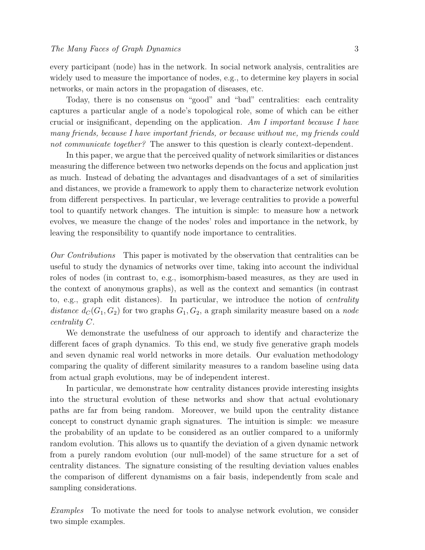every participant (node) has in the network. In social network analysis, centralities are widely used to measure the importance of nodes, e.g., to determine key players in social networks, or main actors in the propagation of diseases, etc.

Today, there is no consensus on "good" and "bad" centralities: each centrality captures a particular angle of a node's topological role, some of which can be either crucial or insignificant, depending on the application. Am I important because I have many friends, because I have important friends, or because without me, my friends could not communicate together? The answer to this question is clearly context-dependent.

In this paper, we argue that the perceived quality of network similarities or distances measuring the difference between two networks depends on the focus and application just as much. Instead of debating the advantages and disadvantages of a set of similarities and distances, we provide a framework to apply them to characterize network evolution from different perspectives. In particular, we leverage centralities to provide a powerful tool to quantify network changes. The intuition is simple: to measure how a network evolves, we measure the change of the nodes' roles and importance in the network, by leaving the responsibility to quantify node importance to centralities.

Our Contributions This paper is motivated by the observation that centralities can be useful to study the dynamics of networks over time, taking into account the individual roles of nodes (in contrast to, e.g., isomorphism-based measures, as they are used in the context of anonymous graphs), as well as the context and semantics (in contrast to, e.g., graph edit distances). In particular, we introduce the notion of *centrality* distance  $d_C(G_1, G_2)$  for two graphs  $G_1, G_2$ , a graph similarity measure based on a node centrality C.

We demonstrate the usefulness of our approach to identify and characterize the different faces of graph dynamics. To this end, we study five generative graph models and seven dynamic real world networks in more details. Our evaluation methodology comparing the quality of different similarity measures to a random baseline using data from actual graph evolutions, may be of independent interest.

In particular, we demonstrate how centrality distances provide interesting insights into the structural evolution of these networks and show that actual evolutionary paths are far from being random. Moreover, we build upon the centrality distance concept to construct dynamic graph signatures. The intuition is simple: we measure the probability of an update to be considered as an outlier compared to a uniformly random evolution. This allows us to quantify the deviation of a given dynamic network from a purely random evolution (our null-model) of the same structure for a set of centrality distances. The signature consisting of the resulting deviation values enables the comparison of different dynamisms on a fair basis, independently from scale and sampling considerations.

Examples To motivate the need for tools to analyse network evolution, we consider two simple examples.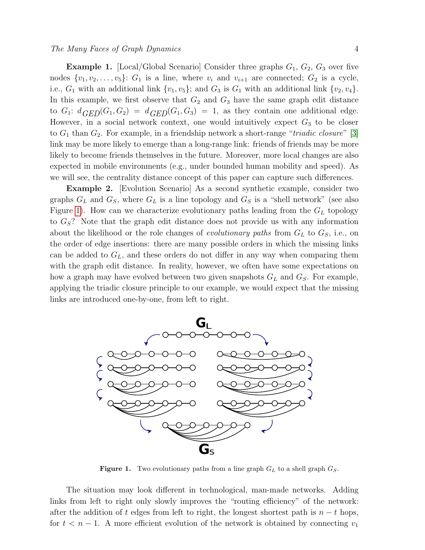## The Many Faces of Graph Dynamics 4

**Example 1.** [Local/Global Scenario] Consider three graphs  $G_1$ ,  $G_2$ ,  $G_3$  over five nodes  $\{v_1, v_2, \ldots, v_5\}$ :  $G_1$  is a line, where  $v_i$  and  $v_{i+1}$  are connected;  $G_2$  is a cycle, i.e.,  $G_1$  with an additional link  $\{v_1, v_5\}$ ; and  $G_3$  is  $G_1$  with an additional link  $\{v_2, v_4\}$ . In this example, we first observe that  $G_2$  and  $G_3$  have the same graph edit distance to  $G_1: d_{GED}(G_1, G_2) = d_{GED}(G_1, G_3) = 1$ , as they contain one additional edge. However, in a social network context, one would intuitively expect  $G_3$  to be closer to  $G_1$  than  $G_2$ . For example, in a friendship network a short-range "*triadic closure*" [\[3\]](#page-15-2) link may be more likely to emerge than a long-range link: friends of friends may be more likely to become friends themselves in the future. Moreover, more local changes are also expected in mobile environments (e.g., under bounded human mobility and speed). As we will see, the centrality distance concept of this paper can capture such differences.

Example 2. [Evolution Scenario] As a second synthetic example, consider two graphs  $G_L$  and  $G_S$ , where  $G_L$  is a line topology and  $G_S$  is a "shell network" (see also Figure [1\)](#page-3-0). How can we characterize evolutionary paths leading from the  $G_L$  topology to  $G_S$ ? Note that the graph edit distance does not provide us with any information about the likelihood or the role changes of *evolutionary paths* from  $G_L$  to  $G_S$ , i.e., on the order of edge insertions: there are many possible orders in which the missing links can be added to  $G_L$ , and these orders do not differ in any way when comparing them with the graph edit distance. In reality, however, we often have some expectations on how a graph may have evolved between two given snapshots  $G_L$  and  $G_S$ . For example, applying the triadic closure principle to our example, we would expect that the missing links are introduced one-by-one, from left to right.



<span id="page-3-0"></span>**Figure 1.** Two evolutionary paths from a line graph  $G_L$  to a shell graph  $G_S$ .

The situation may look different in technological, man-made networks. Adding links from left to right only slowly improves the "routing efficiency" of the network: after the addition of t edges from left to right, the longest shortest path is  $n - t$  hops, for  $t < n - 1$ . A more efficient evolution of the network is obtained by connecting  $v_1$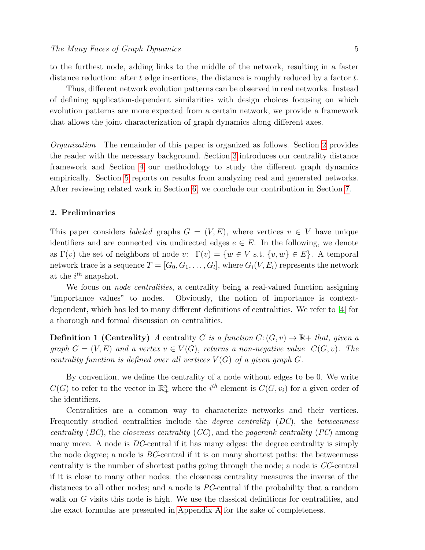to the furthest node, adding links to the middle of the network, resulting in a faster distance reduction: after t edge insertions, the distance is roughly reduced by a factor  $t$ .

Thus, different network evolution patterns can be observed in real networks. Instead of defining application-dependent similarities with design choices focusing on which evolution patterns are more expected from a certain network, we provide a framework that allows the joint characterization of graph dynamics along different axes.

Organization The remainder of this paper is organized as follows. Section [2](#page-4-0) provides the reader with the necessary background. Section [3](#page-5-0) introduces our centrality distance framework and Section [4](#page-6-0) our methodology to study the different graph dynamics empirically. Section [5](#page-7-0) reports on results from analyzing real and generated networks. After reviewing related work in Section [6,](#page-11-0) we conclude our contribution in Section [7.](#page-12-0)

# <span id="page-4-0"></span>2. Preliminaries

This paper considers *labeled* graphs  $G = (V, E)$ , where vertices  $v \in V$  have unique identifiers and are connected via undirected edges  $e \in E$ . In the following, we denote as  $\Gamma(v)$  the set of neighbors of node v:  $\Gamma(v) = \{w \in V \text{ s.t. } \{v, w\} \in E\}$ . A temporal network trace is a sequence  $T=[G_0,G_1,\ldots,G_l],$  where  $G_i(V,E_i)$  represents the network at the  $i^{th}$  snapshot.

We focus on *node centralities*, a centrality being a real-valued function assigning "importance values" to nodes. Obviously, the notion of importance is contextdependent, which has led to many different definitions of centralities. We refer to [\[4\]](#page-15-3) for a thorough and formal discussion on centralities.

**Definition 1 (Centrality)** A centrality C is a function  $C: (G, v) \to \mathbb{R}$  + that, given a graph  $G = (V, E)$  and a vertex  $v \in V(G)$ , returns a non-negative value  $C(G, v)$ . The centrality function is defined over all vertices  $V(G)$  of a given graph  $G$ .

By convention, we define the centrality of a node without edges to be 0. We write  $C(G)$  to refer to the vector in  $\mathbb{R}^n_+$  where the i<sup>th</sup> element is  $C(G, v_i)$  for a given order of the identifiers.

Centralities are a common way to characterize networks and their vertices. Frequently studied centralities include the degree centrality (DC), the betweenness centrality (BC), the closeness centrality (CC), and the pagerank centrality (PC) among many more. A node is DC-central if it has many edges: the degree centrality is simply the node degree; a node is  $BC$ -central if it is on many shortest paths: the betweenness centrality is the number of shortest paths going through the node; a node is CC-central if it is close to many other nodes: the closeness centrality measures the inverse of the distances to all other nodes; and a node is PC-central if the probability that a random walk on G visits this node is high. We use the classical definitions for centralities, and the exact formulas are presented in [Appendix A](#page-13-0) for the sake of completeness.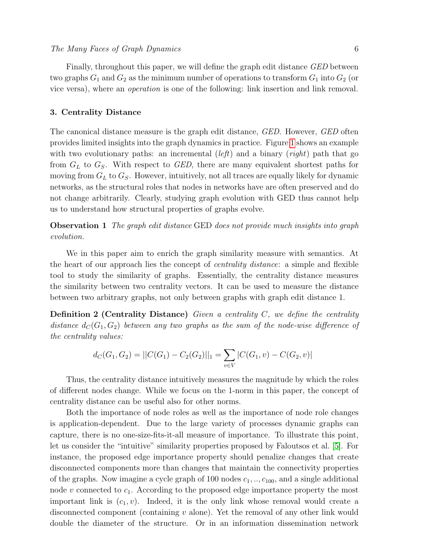Finally, throughout this paper, we will define the graph edit distance GED between two graphs  $G_1$  and  $G_2$  as the minimum number of operations to transform  $G_1$  into  $G_2$  (or vice versa), where an operation is one of the following: link insertion and link removal.

## <span id="page-5-0"></span>3. Centrality Distance

The canonical distance measure is the graph edit distance, *GED*. However, *GED* often provides limited insights into the graph dynamics in practice. Figure [1](#page-3-0) shows an example with two evolutionary paths: an incremental  $(left)$  and a binary  $(right)$  path that go from  $G_L$  to  $G_S$ . With respect to GED, there are many equivalent shortest paths for moving from  $G_L$  to  $G_S$ . However, intuitively, not all traces are equally likely for dynamic networks, as the structural roles that nodes in networks have are often preserved and do not change arbitrarily. Clearly, studying graph evolution with GED thus cannot help us to understand how structural properties of graphs evolve.

Observation 1 The graph edit distance GED does not provide much insights into graph evolution.

We in this paper aim to enrich the graph similarity measure with semantics. At the heart of our approach lies the concept of centrality distance: a simple and flexible tool to study the similarity of graphs. Essentially, the centrality distance measures the similarity between two centrality vectors. It can be used to measure the distance between two arbitrary graphs, not only between graphs with graph edit distance 1.

**Definition 2 (Centrality Distance)** Given a centrality  $C$ , we define the centrality distance  $d_C(G_1, G_2)$  between any two graphs as the sum of the node-wise difference of the centrality values:

$$
d_C(G_1, G_2) = ||C(G_1) - C_2(G_2)||_1 = \sum_{v \in V} |C(G_1, v) - C(G_2, v)|
$$

Thus, the centrality distance intuitively measures the magnitude by which the roles of different nodes change. While we focus on the 1-norm in this paper, the concept of centrality distance can be useful also for other norms.

Both the importance of node roles as well as the importance of node role changes is application-dependent. Due to the large variety of processes dynamic graphs can capture, there is no one-size-fits-it-all measure of importance. To illustrate this point, let us consider the "intuitive" similarity properties proposed by Faloutsos et al. [\[5\]](#page-15-4). For instance, the proposed edge importance property should penalize changes that create disconnected components more than changes that maintain the connectivity properties of the graphs. Now imagine a cycle graph of 100 nodes  $c_1, \ldots, c_{100}$ , and a single additional node v connected to  $c_1$ . According to the proposed edge importance property the most important link is  $(c_1, v)$ . Indeed, it is the only link whose removal would create a disconnected component (containing v alone). Yet the removal of any other link would double the diameter of the structure. Or in an information dissemination network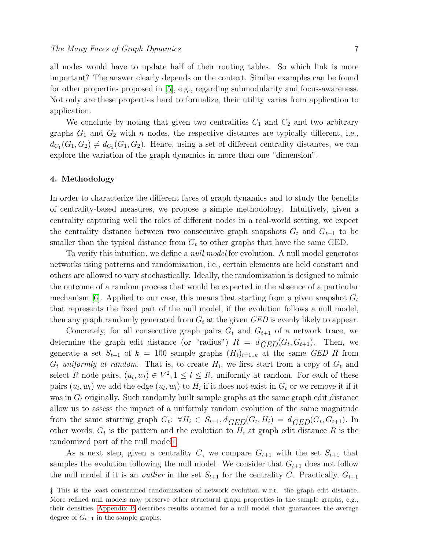all nodes would have to update half of their routing tables. So which link is more important? The answer clearly depends on the context. Similar examples can be found for other properties proposed in [\[5\]](#page-15-4), e.g., regarding submodularity and focus-awareness. Not only are these properties hard to formalize, their utility varies from application to application.

We conclude by noting that given two centralities  $C_1$  and  $C_2$  and two arbitrary graphs  $G_1$  and  $G_2$  with n nodes, the respective distances are typically different, i.e.,  $d_{C_1}(G_1, G_2) \neq d_{C_2}(G_1, G_2)$ . Hence, using a set of different centrality distances, we can explore the variation of the graph dynamics in more than one "dimension".

# <span id="page-6-0"></span>4. Methodology

In order to characterize the different faces of graph dynamics and to study the benefits of centrality-based measures, we propose a simple methodology. Intuitively, given a centrality capturing well the roles of different nodes in a real-world setting, we expect the centrality distance between two consecutive graph snapshots  $G_t$  and  $G_{t+1}$  to be smaller than the typical distance from  $G_t$  to other graphs that have the same GED.

To verify this intuition, we define a *null model* for evolution. A null model generates networks using patterns and randomization, i.e., certain elements are held constant and others are allowed to vary stochastically. Ideally, the randomization is designed to mimic the outcome of a random process that would be expected in the absence of a particular mechanism [\[6\]](#page-15-5). Applied to our case, this means that starting from a given snapshot  $G_t$ that represents the fixed part of the null model, if the evolution follows a null model, then any graph randomly generated from  $G_t$  at the given  $GED$  is evenly likely to appear.

Concretely, for all consecutive graph pairs  $G_t$  and  $G_{t+1}$  of a network trace, we determine the graph edit distance (or "radius")  $R = d_{GED}(G_t, G_{t+1})$ . Then, we generate a set  $S_{t+1}$  of  $k = 100$  sample graphs  $(H_i)_{i=1..k}$  at the same GED R from  $G_t$  uniformly at random. That is, to create  $H_i$ , we first start from a copy of  $G_t$  and select R node pairs,  $(u_l, w_l) \in V^2, 1 \leq l \leq R$ , uniformly at random. For each of these pairs  $(u_l, w_l)$  we add the edge  $(u_l, w_l)$  to  $H_i$  if it does not exist in  $G_t$  or we remove it if it was in  $G_t$  originally. Such randomly built sample graphs at the same graph edit distance allow us to assess the impact of a uniformly random evolution of the same magnitude from the same starting graph  $G_t$ :  $\forall H_i \in S_{t+1}, d_{GED}(G_t, H_i) = d_{GED}(G_t, G_{t+1})$ . In other words,  $G_t$  is the pattern and the evolution to  $H_i$  at graph edit distance R is the randomized part of the null model[‡](#page-6-1).

As a next step, given a centrality C, we compare  $G_{t+1}$  with the set  $S_{t+1}$  that samples the evolution following the null model. We consider that  $G_{t+1}$  does not follow the null model if it is an *outlier* in the set  $S_{t+1}$  for the centrality C. Practically,  $G_{t+1}$ 

<span id="page-6-1"></span><sup>‡</sup> This is the least constrained randomization of network evolution w.r.t. the graph edit distance. More refined null models may preserve other structural graph properties in the sample graphs, e.g., their densities. [Appendix B](#page-14-0) describes results obtained for a null model that guarantees the average degree of  $G_{t+1}$  in the sample graphs.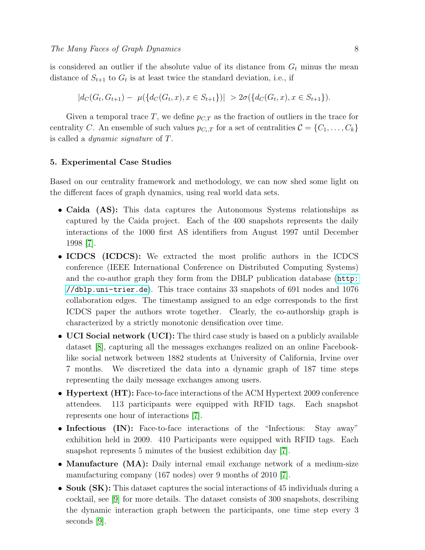is considered an outlier if the absolute value of its distance from  $G_t$  minus the mean distance of  $S_{t+1}$  to  $G_t$  is at least twice the standard deviation, i.e., if

$$
|d_C(G_t, G_{t+1}) - \mu({d_C(G_t, x), x \in S_{t+1}})| > 2\sigma({d_C(G_t, x), x \in S_{t+1}}).
$$

Given a temporal trace T, we define  $p_{C,T}$  as the fraction of outliers in the trace for centrality C. An ensemble of such values  $p_{C_i,T}$  for a set of centralities  $C = \{C_1, \ldots, C_k\}$ is called a dynamic signature of T.

# <span id="page-7-0"></span>5. Experimental Case Studies

Based on our centrality framework and methodology, we can now shed some light on the different faces of graph dynamics, using real world data sets.

- Caida (AS): This data captures the Autonomous Systems relationships as captured by the Caida project. Each of the 400 snapshots represents the daily interactions of the 1000 first AS identifiers from August 1997 until December 1998 [\[7\]](#page-15-6).
- ICDCS (ICDCS): We extracted the most prolific authors in the ICDCS conference (IEEE International Conference on Distributed Computing Systems) and the co-author graph they form from the DBLP publication database ([http:](http://dblp.uni-trier.de) [//dblp.uni-trier.de](http://dblp.uni-trier.de)). This trace contains 33 snapshots of 691 nodes and 1076 collaboration edges. The timestamp assigned to an edge corresponds to the first ICDCS paper the authors wrote together. Clearly, the co-authorship graph is characterized by a strictly monotonic densification over time.
- UCI Social network (UCI): The third case study is based on a publicly available dataset [\[8\]](#page-15-7), capturing all the messages exchanges realized on an online Facebooklike social network between 1882 students at University of California, Irvine over 7 months. We discretized the data into a dynamic graph of 187 time steps representing the daily message exchanges among users.
- Hypertext (HT): Face-to-face interactions of the ACM Hypertext 2009 conference attendees. 113 participants were equipped with RFID tags. Each snapshot represents one hour of interactions [\[7\]](#page-15-6).
- Infectious (IN): Face-to-face interactions of the "Infectious: Stay away" exhibition held in 2009. 410 Participants were equipped with RFID tags. Each snapshot represents 5 minutes of the busiest exhibition day [\[7\]](#page-15-6).
- Manufacture (MA): Daily internal email exchange network of a medium-size manufacturing company (167 nodes) over 9 months of 2010 [\[7\]](#page-15-6).
- Souk (SK): This dataset captures the social interactions of 45 individuals during a cocktail, see [\[9\]](#page-16-0) for more details. The dataset consists of 300 snapshots, describing the dynamic interaction graph between the participants, one time step every 3 seconds [\[9\]](#page-16-0).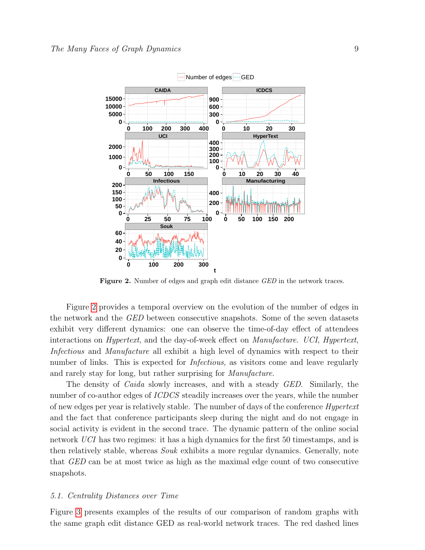

<span id="page-8-0"></span>Figure 2. Number of edges and graph edit distance GED in the network traces.

Figure [2](#page-8-0) provides a temporal overview on the evolution of the number of edges in the network and the GED between consecutive snapshots. Some of the seven datasets exhibit very different dynamics: one can observe the time-of-day effect of attendees interactions on Hypertext, and the day-of-week effect on Manufacture. UCI, Hypertext, Infectious and Manufacture all exhibit a high level of dynamics with respect to their number of links. This is expected for *Infectious*, as visitors come and leave regularly and rarely stay for long, but rather surprising for Manufacture.

The density of *Caida* slowly increases, and with a steady *GED*. Similarly, the number of co-author edges of *ICDCS* steadily increases over the years, while the number of new edges per year is relatively stable. The number of days of the conference Hypertext and the fact that conference participants sleep during the night and do not engage in social activity is evident in the second trace. The dynamic pattern of the online social network UCI has two regimes: it has a high dynamics for the first 50 timestamps, and is then relatively stable, whereas Souk exhibits a more regular dynamics. Generally, note that GED can be at most twice as high as the maximal edge count of two consecutive snapshots.

#### 5.1. Centrality Distances over Time

Figure [3](#page-9-0) presents examples of the results of our comparison of random graphs with the same graph edit distance GED as real-world network traces. The red dashed lines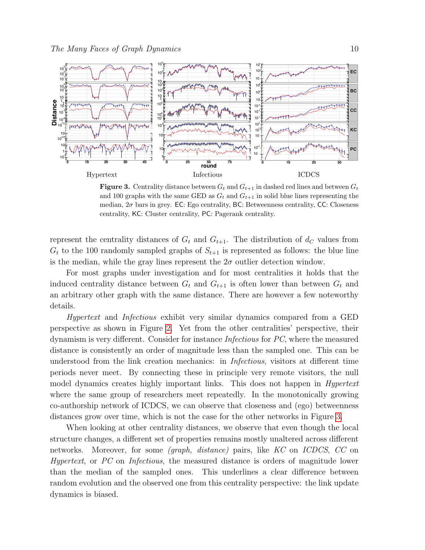

<span id="page-9-0"></span>**Figure 3.** Centrality distance between  $G_t$  and  $G_{t+1}$  in dashed red lines and between  $G_t$ and 100 graphs with the same GED as  $G_t$  and  $G_{t+1}$  in solid blue lines representing the median, 2σ bars in grey. EC: Ego centrality, BC: Betweenness centrality, CC: Closeness centrality, KC: Cluster centrality, PC: Pagerank centrality.

represent the centrality distances of  $G_t$  and  $G_{t+1}$ . The distribution of  $d_C$  values from  $G_t$  to the 100 randomly sampled graphs of  $S_{t+1}$  is represented as follows: the blue line is the median, while the gray lines represent the  $2\sigma$  outlier detection window.

For most graphs under investigation and for most centralities it holds that the induced centrality distance between  $G_t$  and  $G_{t+1}$  is often lower than between  $G_t$  and an arbitrary other graph with the same distance. There are however a few noteworthy details.

Hypertext and Infectious exhibit very similar dynamics compared from a GED perspective as shown in Figure [2.](#page-8-0) Yet from the other centralities' perspective, their dynamism is very different. Consider for instance Infectious for PC, where the measured distance is consistently an order of magnitude less than the sampled one. This can be understood from the link creation mechanics: in Infectious, visitors at different time periods never meet. By connecting these in principle very remote visitors, the null model dynamics creates highly important links. This does not happen in *Hypertext* where the same group of researchers meet repeatedly. In the monotonically growing co-authorship network of ICDCS, we can observe that closeness and (ego) betweenness distances grow over time, which is not the case for the other networks in Figure [3.](#page-9-0)

When looking at other centrality distances, we observe that even though the local structure changes, a different set of properties remains mostly unaltered across different networks. Moreover, for some (graph, distance) pairs, like KC on ICDCS, CC on Hypertext, or PC on Infectious, the measured distance is orders of magnitude lower than the median of the sampled ones. This underlines a clear difference between random evolution and the observed one from this centrality perspective: the link update dynamics is biased.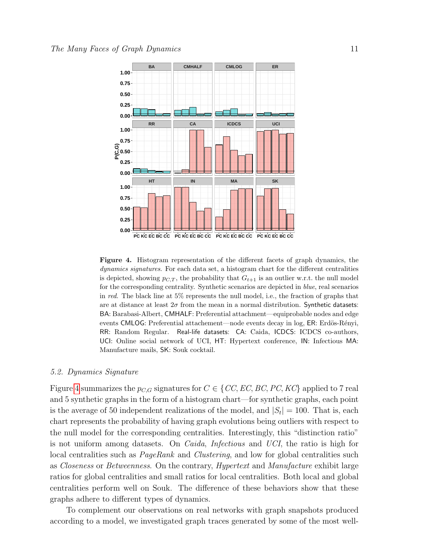

<span id="page-10-0"></span>Figure 4. Histogram representation of the different facets of graph dynamics, the dynamics signatures. For each data set, a histogram chart for the different centralities is depicted, showing  $p_{C,T}$ , the probability that  $G_{t+1}$  is an outlier w.r.t. the null model for the corresponding centrality. Synthetic scenarios are depicted in blue, real scenarios in red. The black line at 5% represents the null model, i.e., the fraction of graphs that are at distance at least  $2\sigma$  from the mean in a normal distribution. Synthetic datasets: BA: Barabasi-Albert, CMHALF: Preferential attachment—equiprobable nodes and edge events CMLOG: Preferential attachement—node events decay in log, ER: Erdös-Rényi, RR: Random Regular. Real-life datasets: CA: Caida, ICDCS: ICDCS co-authors, UCI: Online social network of UCI, HT: Hypertext conference, IN: Infectious MA: Manufacture mails, SK: Souk cocktail.

## 5.2. Dynamics Signature

Figure [4](#page-10-0) summarizes the  $p_{C,G}$  signatures for  $C \in \{CC, EC, BC, PC, KC\}$  applied to 7 real and 5 synthetic graphs in the form of a histogram chart—for synthetic graphs, each point is the average of 50 independent realizations of the model, and  $|S_t| = 100$ . That is, each chart represents the probability of having graph evolutions being outliers with respect to the null model for the corresponding centralities. Interestingly, this "distinction ratio" is not uniform among datasets. On Caida, Infectious and UCI, the ratio is high for local centralities such as *PageRank* and *Clustering*, and low for global centralities such as Closeness or Betweenness. On the contrary, Hypertext and Manufacture exhibit large ratios for global centralities and small ratios for local centralities. Both local and global centralities perform well on Souk. The difference of these behaviors show that these graphs adhere to different types of dynamics.

To complement our observations on real networks with graph snapshots produced according to a model, we investigated graph traces generated by some of the most well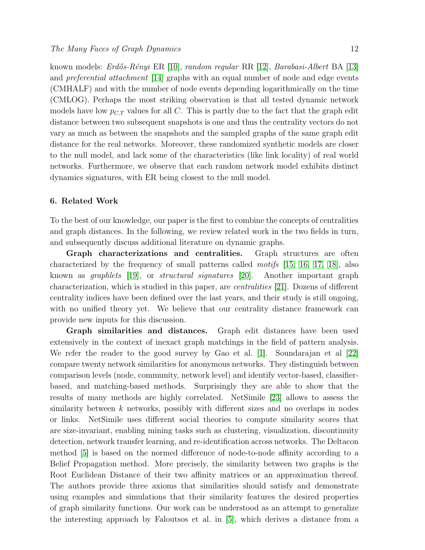known models: *Erdős-Rényi* ER [\[10\]](#page-16-1), *random regular* RR [\[12\]](#page-16-2), *Barabasi-Albert* BA [\[13\]](#page-16-3) and preferential attachment [\[14\]](#page-16-4) graphs with an equal number of node and edge events (CMHALF) and with the number of node events depending logarithmically on the time (CMLOG). Perhaps the most striking observation is that all tested dynamic network models have low  $p_{C,T}$  values for all C. This is partly due to the fact that the graph edit distance between two subsequent snapshots is one and thus the centrality vectors do not vary as much as between the snapshots and the sampled graphs of the same graph edit distance for the real networks. Moreover, these randomized synthetic models are closer to the null model, and lack some of the characteristics (like link locality) of real world networks. Furthermore, we observe that each random network model exhibits distinct dynamics signatures, with ER being closest to the null model.

## <span id="page-11-0"></span>6. Related Work

To the best of our knowledge, our paper is the first to combine the concepts of centralities and graph distances. In the following, we review related work in the two fields in turn, and subsequently discuss additional literature on dynamic graphs.

Graph characterizations and centralities. Graph structures are often characterized by the frequency of small patterns called motifs [\[15,](#page-16-5) [16,](#page-16-6) [17,](#page-16-7) [18\]](#page-16-8), also known as graphlets [\[19\]](#page-16-9), or structural signatures [\[20\]](#page-16-10). Another important graph characterization, which is studied in this paper, are centralities [\[21\]](#page-16-11). Dozens of different centrality indices have been defined over the last years, and their study is still ongoing, with no unified theory yet. We believe that our centrality distance framework can provide new inputs for this discussion.

Graph similarities and distances. Graph edit distances have been used extensively in the context of inexact graph matchings in the field of pattern analysis. We refer the reader to the good survey by Gao et al. [\[1\]](#page-15-0). Soundarajan et al [\[22\]](#page-16-12) compare twenty network similarities for anonymous networks. They distinguish between comparison levels (node, community, network level) and identify vector-based, classifierbased, and matching-based methods. Surprisingly they are able to show that the results of many methods are highly correlated. NetSimile [\[23\]](#page-16-13) allows to assess the similarity between  $k$  networks, possibly with different sizes and no overlaps in nodes or links. NetSimile uses different social theories to compute similarity scores that are size-invariant, enabling mining tasks such as clustering, visualization, discontinuity detection, network transfer learning, and re-identification across networks. The Deltacon method [\[5\]](#page-15-4) is based on the normed difference of node-to-node affinity according to a Belief Propagation method. More precisely, the similarity between two graphs is the Root Euclidean Distance of their two affinity matrices or an approximation thereof. The authors provide three axioms that similarities should satisfy and demonstrate using examples and simulations that their similarity features the desired properties of graph similarity functions. Our work can be understood as an attempt to generalize the interesting approach by Faloutsos et al. in [\[5\]](#page-15-4), which derives a distance from a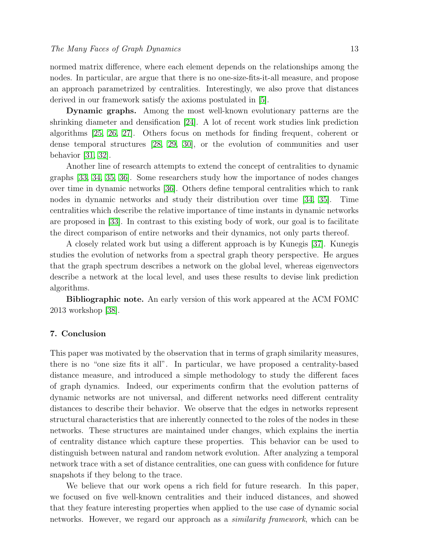normed matrix difference, where each element depends on the relationships among the nodes. In particular, are argue that there is no one-size-fits-it-all measure, and propose an approach parametrized by centralities. Interestingly, we also prove that distances derived in our framework satisfy the axioms postulated in [\[5\]](#page-15-4).

Dynamic graphs. Among the most well-known evolutionary patterns are the shrinking diameter and densification [\[24\]](#page-16-14). A lot of recent work studies link prediction algorithms [\[25,](#page-16-15) [26,](#page-16-16) [27\]](#page-16-17). Others focus on methods for finding frequent, coherent or dense temporal structures [\[28,](#page-16-18) [29,](#page-16-19) [30\]](#page-16-20), or the evolution of communities and user behavior [\[31,](#page-16-21) [32\]](#page-16-22).

Another line of research attempts to extend the concept of centralities to dynamic graphs [\[33,](#page-17-0) [34,](#page-17-1) [35,](#page-17-2) [36\]](#page-17-3). Some researchers study how the importance of nodes changes over time in dynamic networks [\[36\]](#page-17-3). Others define temporal centralities which to rank nodes in dynamic networks and study their distribution over time [\[34,](#page-17-1) [35\]](#page-17-2). Time centralities which describe the relative importance of time instants in dynamic networks are proposed in [\[33\]](#page-17-0). In contrast to this existing body of work, our goal is to facilitate the direct comparison of entire networks and their dynamics, not only parts thereof.

A closely related work but using a different approach is by Kunegis [\[37\]](#page-17-4). Kunegis studies the evolution of networks from a spectral graph theory perspective. He argues that the graph spectrum describes a network on the global level, whereas eigenvectors describe a network at the local level, and uses these results to devise link prediction algorithms.

Bibliographic note. An early version of this work appeared at the ACM FOMC 2013 workshop [\[38\]](#page-17-5).

# <span id="page-12-0"></span>7. Conclusion

This paper was motivated by the observation that in terms of graph similarity measures, there is no "one size fits it all". In particular, we have proposed a centrality-based distance measure, and introduced a simple methodology to study the different faces of graph dynamics. Indeed, our experiments confirm that the evolution patterns of dynamic networks are not universal, and different networks need different centrality distances to describe their behavior. We observe that the edges in networks represent structural characteristics that are inherently connected to the roles of the nodes in these networks. These structures are maintained under changes, which explains the inertia of centrality distance which capture these properties. This behavior can be used to distinguish between natural and random network evolution. After analyzing a temporal network trace with a set of distance centralities, one can guess with confidence for future snapshots if they belong to the trace.

We believe that our work opens a rich field for future research. In this paper, we focused on five well-known centralities and their induced distances, and showed that they feature interesting properties when applied to the use case of dynamic social networks. However, we regard our approach as a similarity framework, which can be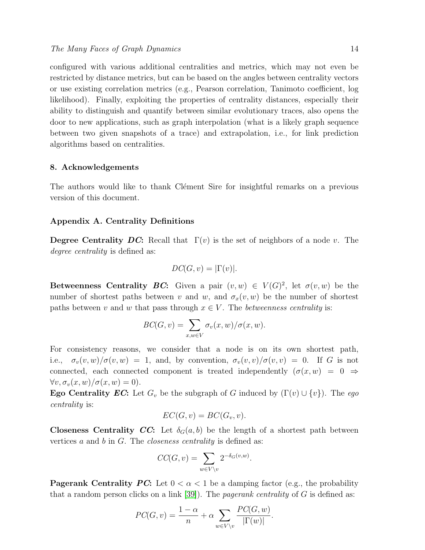configured with various additional centralities and metrics, which may not even be restricted by distance metrics, but can be based on the angles between centrality vectors or use existing correlation metrics (e.g., Pearson correlation, Tanimoto coefficient, log likelihood). Finally, exploiting the properties of centrality distances, especially their ability to distinguish and quantify between similar evolutionary traces, also opens the door to new applications, such as graph interpolation (what is a likely graph sequence between two given snapshots of a trace) and extrapolation, i.e., for link prediction algorithms based on centralities.

## 8. Acknowledgements

The authors would like to thank Clément Sire for insightful remarks on a previous version of this document.

## <span id="page-13-0"></span>Appendix A. Centrality Definitions

**Degree Centrality DC:** Recall that  $\Gamma(v)$  is the set of neighbors of a node v. The degree centrality is defined as:

$$
DC(G, v) = |\Gamma(v)|.
$$

Betweenness Centrality BC: Given a pair  $(v, w) \in V(G)^2$ , let  $\sigma(v, w)$  be the number of shortest paths between v and w, and  $\sigma_x(v, w)$  be the number of shortest paths between v and w that pass through  $x \in V$ . The *betweenness centrality* is:

$$
BC(G, v) = \sum_{x, w \in V} \sigma_v(x, w) / \sigma(x, w).
$$

For consistency reasons, we consider that a node is on its own shortest path, i.e.,  $\sigma_v(v, w)/\sigma(v, w) = 1$ , and, by convention,  $\sigma_v(v, v)/\sigma(v, v) = 0$ . If G is not connected, each connected component is treated independently  $(\sigma(x, w) = 0 \Rightarrow$  $\forall v, \sigma_v(x, w) / \sigma(x, w) = 0$ .

**Ego Centrality EC:** Let  $G_v$  be the subgraph of G induced by  $(\Gamma(v) \cup \{v\})$ . The ego centrality is:

$$
EC(G, v) = BC(G_v, v).
$$

**Closeness Centrality CC:** Let  $\delta_G(a, b)$  be the length of a shortest path between vertices  $a$  and  $b$  in  $G$ . The *closeness centrality* is defined as:

$$
CC(G, v) = \sum_{w \in V \setminus v} 2^{-\delta_G(v, w)}.
$$

**Pagerank Centrality PC:** Let  $0 < \alpha < 1$  be a damping factor (e.g., the probability that a random person clicks on a link  $[39]$ . The *pagerank centrality* of G is defined as:

$$
PC(G, v) = \frac{1 - \alpha}{n} + \alpha \sum_{w \in V \setminus v} \frac{PC(G, w)}{|\Gamma(w)|}.
$$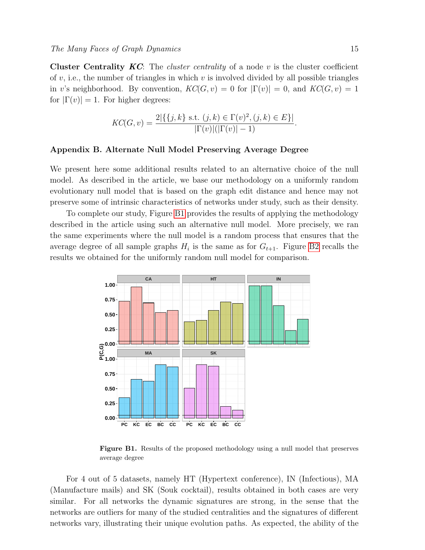**Cluster Centrality KC:** The *cluster centrality* of a node v is the cluster coefficient of  $v$ , i.e., the number of triangles in which  $v$  is involved divided by all possible triangles in v's neighborhood. By convention,  $KC(G, v) = 0$  for  $|\Gamma(v)| = 0$ , and  $KC(G, v) = 1$ for  $|\Gamma(v)| = 1$ . For higher degrees:

$$
KC(G, v) = \frac{2|\{\{j, k\} \text{ s.t. } (j, k) \in \Gamma(v)^2, (j, k) \in E\}|}{|\Gamma(v)|(|\Gamma(v)| - 1)}.
$$

#### <span id="page-14-0"></span>Appendix B. Alternate Null Model Preserving Average Degree

We present here some additional results related to an alternative choice of the null model. As described in the article, we base our methodology on a uniformly random evolutionary null model that is based on the graph edit distance and hence may not preserve some of intrinsic characteristics of networks under study, such as their density.

To complete our study, Figure [B1](#page-14-1) provides the results of applying the methodology described in the article using such an alternative null model. More precisely, we ran the same experiments where the null model is a random process that ensures that the average degree of all sample graphs  $H_i$  is the same as for  $G_{t+1}$ . Figure [B2](#page-15-8) recalls the results we obtained for the uniformly random null model for comparison.



<span id="page-14-1"></span>Figure B1. Results of the proposed methodology using a null model that preserves average degree

For 4 out of 5 datasets, namely HT (Hypertext conference), IN (Infectious), MA (Manufacture mails) and SK (Souk cocktail), results obtained in both cases are very similar. For all networks the dynamic signatures are strong, in the sense that the networks are outliers for many of the studied centralities and the signatures of different networks vary, illustrating their unique evolution paths. As expected, the ability of the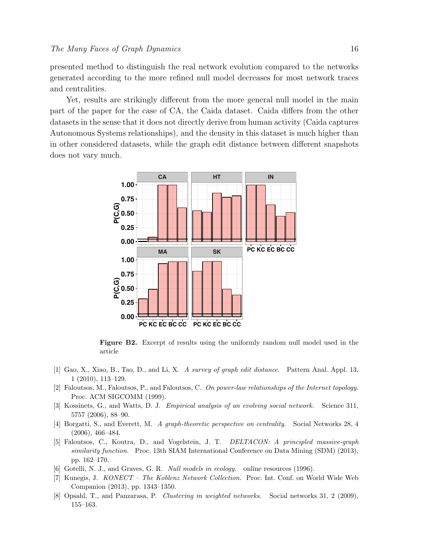presented method to distinguish the real network evolution compared to the networks **0.50 0.50** generated according to the more refined null model decreases for most network traces and centralities.

Yet, results are strikingly different from the more general null model in the main part of the paper for the case of CA, the Caida dataset. Caida differs from the other datasets in the sense that it does not directly derive from human activity (Caida captures **0.75 0.75 0.75 0.75** Autonomous Systems relationships), and the density in this dataset is much higher than **0.50 0.50 0.50** in other considered datasets, while the graph edit distance between different snapshots does not vary much. **P(C,G)** <sup>25</sup><br> **EXECUTE:** 16<br> **EXECUTE:** 16<br> **EXECUTE:** 16<br> **EXECUTE:** 16<br> **EXECUTE:** 18<br> **EXECUTE:** 18<br> **EXECUTE:** 18<br> **EXECUTE:** 18<br> **EXECUTE:** 18<br> **EXECUTE:** 18<br> **EXECUTE:** 18<br> **EXECUTE:** 18<br> **EXECUTE:** 18<br> **EXECUTE:** 18<br> **EXECU** <sup>7</sup>.5000



<span id="page-15-8"></span>Figure B2. Excerpt of results using the uniformly random null model used in the article

- <span id="page-15-0"></span>**0.25** 1 (2010), 113–129. **0.50** [1] Gao, X., Xiao, B., Tao, D., and Li, X. A survey of graph edit distance. Pattern Anal. Appl. 13,
- <span id="page-15-1"></span>[2] Faloutsos, M., Faloutsos, P., and Faloutsos, C. On power-law relationships of the Internet topology. Proc. ACM SIGCOMM (1999).
- <span id="page-15-2"></span>[3] Kossinets, G., and Watts, D. J. Empirical analysis of an evolving social network. Science 311, 5757 (2006), 88–90.
- <span id="page-15-3"></span>[4] Borgatti, S., and Everett, M. A graph-theoretic perspective on centrality. Social Networks 28, 4 (2006), 466–484.
- <span id="page-15-4"></span>[5] Faloutsos, C., Koutra, D., and Vogelstein, J. T. DELTACON: A principled massive-graph similarity function. Proc. 13th SIAM International Conference on Data Mining (SDM) (2013), pp. 162–170.
- <span id="page-15-5"></span>[6] Gotelli, N. J., and Graves, G. R. Null models in ecology. online resources (1996).
- <span id="page-15-6"></span>[7] Kunegis, J. KONECT – The Koblenz Network Collection. Proc. Int. Conf. on World Wide Web Companion (2013), pp. 1343–1350.
- <span id="page-15-7"></span>[8] Opsahl, T., and Panzarasa, P. Clustering in weighted networks. Social networks 31, 2 (2009), 155–163.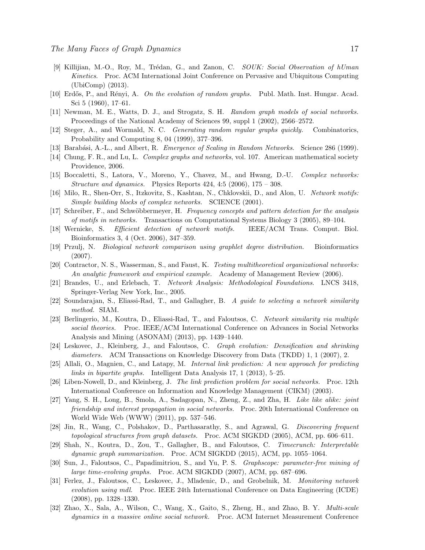- <span id="page-16-0"></span>[9] Killijian, M.-O., Roy, M., Trédan, G., and Zanon, C. SOUK: Social Observation of hUman Kinetics. Proc. ACM International Joint Conference on Pervasive and Ubiquitous Computing (UbiComp) (2013).
- <span id="page-16-1"></span>[10] Erdős, P., and Rényi, A. On the evolution of random graphs. Publ. Math. Inst. Hungar. Acad. Sci 5 (1960), 17–61.
- [11] Newman, M. E., Watts, D. J., and Strogatz, S. H. Random graph models of social networks. Proceedings of the National Academy of Sciences 99, suppl 1 (2002), 2566–2572.
- <span id="page-16-2"></span>[12] Steger, A., and Wormald, N. C. Generating random regular graphs quickly. Combinatorics, Probability and Computing 8, 04 (1999), 377–396.
- <span id="page-16-3"></span>[13] Barabási, A.-L., and Albert, R. *Emergence of Scaling in Random Networks.* Science 286 (1999).
- <span id="page-16-4"></span>[14] Chung, F. R., and Lu, L. Complex graphs and networks, vol. 107. American mathematical society Providence, 2006.
- <span id="page-16-5"></span>[15] Boccaletti, S., Latora, V., Moreno, Y., Chavez, M., and Hwang, D.-U. Complex networks: Structure and dynamics. Physics Reports  $424, 4.5$  (2006),  $175 - 308$ .
- <span id="page-16-6"></span>[16] Milo, R., Shen-Orr, S., Itzkovitz, S., Kashtan, N., Chklovskii, D., and Alon, U. Network motifs: Simple building blocks of complex networks. SCIENCE (2001).
- <span id="page-16-7"></span>[17] Schreiber, F., and Schwöbbermeyer, H. Frequency concepts and pattern detection for the analysis of motifs in networks. Transactions on Computational Systems Biology 3 (2005), 89–104.
- <span id="page-16-8"></span>[18] Wernicke, S. Efficient detection of network motifs. IEEE/ACM Trans. Comput. Biol. Bioinformatics 3, 4 (Oct. 2006), 347–359.
- <span id="page-16-9"></span>[19] Przulj, N. Biological network comparison using graphlet degree distribution. Bioinformatics (2007).
- <span id="page-16-10"></span>[20] Contractor, N. S., Wasserman, S., and Faust, K. Testing multitheoretical organizational networks: An analytic framework and empirical example. Academy of Management Review (2006).
- <span id="page-16-11"></span>[21] Brandes, U., and Erlebach, T. Network Analysis: Methodological Foundations. LNCS 3418, Springer-Verlag New York, Inc., 2005.
- <span id="page-16-12"></span>[22] Soundarajan, S., Eliassi-Rad, T., and Gallagher, B. A guide to selecting a network similarity method. SIAM.
- <span id="page-16-13"></span>[23] Berlingerio, M., Koutra, D., Eliassi-Rad, T., and Faloutsos, C. Network similarity via multiple social theories. Proc. IEEE/ACM International Conference on Advances in Social Networks Analysis and Mining (ASONAM) (2013), pp. 1439–1440.
- <span id="page-16-14"></span>[24] Leskovec, J., Kleinberg, J., and Faloutsos, C. Graph evolution: Densification and shrinking diameters. ACM Transactions on Knowledge Discovery from Data (TKDD) 1, 1 (2007), 2.
- <span id="page-16-15"></span>[25] Allali, O., Magnien, C., and Latapy, M. Internal link prediction: A new approach for predicting links in bipartite graphs. Intelligent Data Analysis 17, 1 (2013), 5–25.
- <span id="page-16-16"></span>[26] Liben-Nowell, D., and Kleinberg, J. The link prediction problem for social networks. Proc. 12th International Conference on Information and Knowledge Management (CIKM) (2003).
- <span id="page-16-17"></span>[27] Yang, S. H., Long, B., Smola, A., Sadagopan, N., Zheng, Z., and Zha, H. Like like alike: joint friendship and interest propagation in social networks. Proc. 20th International Conference on World Wide Web (WWW) (2011), pp. 537–546.
- <span id="page-16-18"></span>[28] Jin, R., Wang, C., Polshakov, D., Parthasarathy, S., and Agrawal, G. Discovering frequent topological structures from graph datasets. Proc. ACM SIGKDD (2005), ACM, pp. 606–611.
- <span id="page-16-19"></span>[29] Shah, N., Koutra, D., Zou, T., Gallagher, B., and Faloutsos, C. Timecrunch: Interpretable dynamic graph summarization. Proc. ACM SIGKDD (2015), ACM, pp. 1055–1064.
- <span id="page-16-20"></span>[30] Sun, J., Faloutsos, C., Papadimitriou, S., and Yu, P. S. Graphscope: parameter-free mining of large time-evolving graphs. Proc. ACM SIGKDD (2007), ACM, pp. 687–696.
- <span id="page-16-21"></span>[31] Ferlez, J., Faloutsos, C., Leskovec, J., Mladenic, D., and Grobelnik, M. Monitoring network evolution using mdl. Proc. IEEE 24th International Conference on Data Engineering (ICDE) (2008), pp. 1328–1330.
- <span id="page-16-22"></span>[32] Zhao, X., Sala, A., Wilson, C., Wang, X., Gaito, S., Zheng, H., and Zhao, B. Y. Multi-scale dynamics in a massive online social network. Proc. ACM Internet Measurement Conference